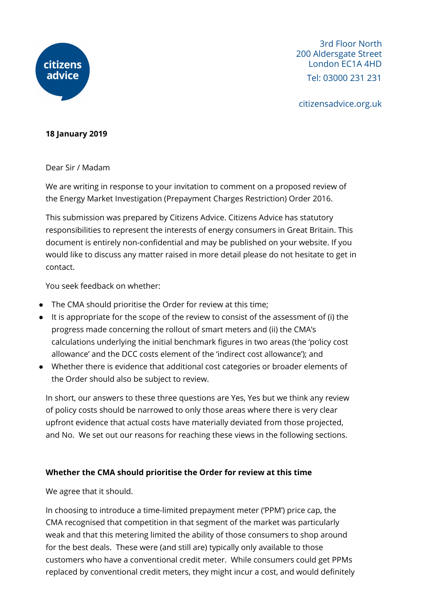

3rd Floor North 200 Aldersgate Street London EC1A 4HD Tel: 03000 231 231

citizensadvice.org.uk

## **18 January 2019**

Dear Sir / Madam

We are writing in response to your invitation to comment on a proposed review of the Energy Market Investigation (Prepayment Charges Restriction) Order 2016.

This submission was prepared by Citizens Advice. Citizens Advice has statutory responsibilities to represent the interests of energy consumers in Great Britain. This document is entirely non-confidential and may be published on your website. If you would like to discuss any matter raised in more detail please do not hesitate to get in contact.

You seek feedback on whether:

- The CMA should prioritise the Order for review at this time;
- It is appropriate for the scope of the review to consist of the assessment of (i) the progress made concerning the rollout of smart meters and (ii) the CMA's calculations underlying the initial benchmark figures in two areas (the 'policy cost allowance' and the DCC costs element of the 'indirect cost allowance'); and
- Whether there is evidence that additional cost categories or broader elements of the Order should also be subject to review.

In short, our answers to these three questions are Yes, Yes but we think any review of policy costs should be narrowed to only those areas where there is very clear upfront evidence that actual costs have materially deviated from those projected, and No. We set out our reasons for reaching these views in the following sections.

## **Whether the CMA should prioritise the Order for review at this time**

We agree that it should.

In choosing to introduce a time-limited prepayment meter ('PPM') price cap, the CMA recognised that competition in that segment of the market was particularly weak and that this metering limited the ability of those consumers to shop around for the best deals. These were (and still are) typically only available to those customers who have a conventional credit meter. While consumers could get PPMs replaced by conventional credit meters, they might incur a cost, and would definitely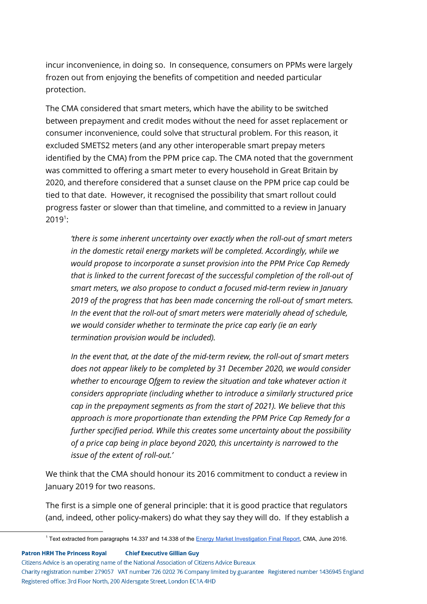incur inconvenience, in doing so. In consequence, consumers on PPMs were largely frozen out from enjoying the benefits of competition and needed particular protection.

The CMA considered that smart meters, which have the ability to be switched between prepayment and credit modes without the need for asset replacement or consumer inconvenience, could solve that structural problem. For this reason, it excluded SMETS2 meters (and any other interoperable smart prepay meters identified by the CMA) from the PPM price cap. The CMA noted that the government was committed to offering a smart meter to every household in Great Britain by 2020, and therefore considered that a sunset clause on the PPM price cap could be tied to that date. However, it recognised the possibility that smart rollout could progress faster or slower than that timeline, and committed to a review in January  $2019^1$ :

*'there is some inherent uncertainty over exactly when the roll-out of smart meters in the domestic retail energy markets will be completed. Accordingly, while we would propose to incorporate a sunset provision into the PPM Price Cap Remedy that is linked to the current forecast of the successful completion of the roll-out of smart meters, we also propose to conduct a focused mid-term review in January 2019 of the progress that has been made concerning the roll-out of smart meters. In the event that the roll-out of smart meters were materially ahead of schedule, we would consider whether to terminate the price cap early (ie an early termination provision would be included).*

*In the event that, at the date of the mid-term review, the roll-out of smart meters does not appear likely to be completed by 31 December 2020, we would consider whether to encourage Ofgem to review the situation and take whatever action it considers appropriate (including whether to introduce a similarly structured price cap in the prepayment segments as from the start of 2021). We believe that this approach is more proportionate than extending the PPM Price Cap Remedy for a further specified period. While this creates some uncertainty about the possibility of a price cap being in place beyond 2020, this uncertainty is narrowed to the issue of the extent of roll-out.'*

We think that the CMA should honour its 2016 commitment to conduct a review in January 2019 for two reasons.

The first is a simple one of general principle: that it is good practice that regulators (and, indeed, other policy-makers) do what they say they will do. If they establish a

**Patron HRH The Princess Royal Chief Executive Gillian Guy** 

Citizens Advice is an operating name of the National Association of Citizens Advice Bureaux

Charity registration number 279057 VAT number 726 0202 76 Company limited by guarantee Registered number 1436945 England Registered office: 3rd Floor North, 200 Aldersgate Street, London EC1A 4HD

<sup>&</sup>lt;sup>1</sup> Text extracted from paragraphs 14.337 and 14.338 of the Energy Market [Investigation](https://assets.publishing.service.gov.uk/media/5773de34e5274a0da3000113/final-report-energy-market-investigation.pdf) Final Report, CMA, June 2016.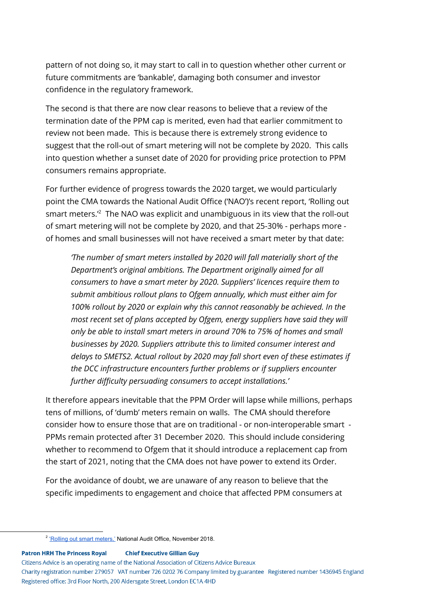pattern of not doing so, it may start to call in to question whether other current or future commitments are 'bankable', damaging both consumer and investor confidence in the regulatory framework.

The second is that there are now clear reasons to believe that a review of the termination date of the PPM cap is merited, even had that earlier commitment to review not been made. This is because there is extremely strong evidence to suggest that the roll-out of smart metering will not be complete by 2020. This calls into question whether a sunset date of 2020 for providing price protection to PPM consumers remains appropriate.

For further evidence of progress towards the 2020 target, we would particularly point the CMA towards the National Audit Office ('NAO')'s recent report, 'Rolling out smart meters. $^{\prime2}$  The NAO was explicit and unambiguous in its view that the roll-out of smart metering will not be complete by 2020, and that 25-30% - perhaps more of homes and small businesses will not have received a smart meter by that date:

*'The number of smart meters installed by 2020 will fall materially short of the Department's original ambitions. The Department originally aimed for all consumers to have a smart meter by 2020. Suppliers' licences require them to submit ambitious rollout plans to Ofgem annually, which must either aim for 100% rollout by 2020 or explain why this cannot reasonably be achieved. In the most recent set of plans accepted by Ofgem, energy suppliers have said they will only be able to install smart meters in around 70% to 75% of homes and small businesses by 2020. Suppliers attribute this to limited consumer interest and delays to SMETS2. Actual rollout by 2020 may fall short even of these estimates if the DCC infrastructure encounters further problems or if suppliers encounter further difficulty persuading consumers to accept installations.'*

It therefore appears inevitable that the PPM Order will lapse while millions, perhaps tens of millions, of 'dumb' meters remain on walls. The CMA should therefore consider how to ensure those that are on traditional - or non-interoperable smart - PPMs remain protected after 31 December 2020. This should include considering whether to recommend to Ofgem that it should introduce a replacement cap from the start of 2021, noting that the CMA does not have power to extend its Order.

For the avoidance of doubt, we are unaware of any reason to believe that the specific impediments to engagement and choice that affected PPM consumers at

**Patron HRH The Princess Royal Chief Executive Gillian Guy** 

Citizens Advice is an operating name of the National Association of Citizens Advice Bureaux

Charity registration number 279057 VAT number 726 0202 76 Company limited by guarantee Registered number 1436945 England Registered office: 3rd Floor North, 200 Aldersgate Street, London EC1A 4HD

<sup>&</sup>lt;sup>2</sup> 'Rolling out smart [meters,'](https://www.nao.org.uk/report/rolling-out-smart-meters/) National Audit Office, November 2018.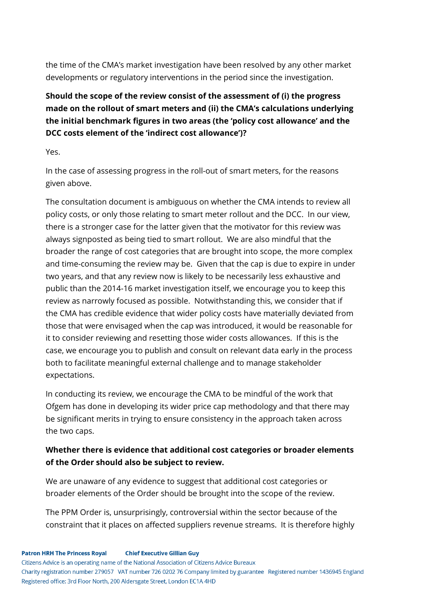the time of the CMA's market investigation have been resolved by any other market developments or regulatory interventions in the period since the investigation.

## **Should the scope of the review consist of the assessment of (i) the progress made on the rollout of smart meters and (ii) the CMA's calculations underlying the initial benchmark figures in two areas (the 'policy cost allowance' and the DCC costs element of the 'indirect cost allowance')?**

Yes.

In the case of assessing progress in the roll-out of smart meters, for the reasons given above.

The consultation document is ambiguous on whether the CMA intends to review all policy costs, or only those relating to smart meter rollout and the DCC. In our view, there is a stronger case for the latter given that the motivator for this review was always signposted as being tied to smart rollout. We are also mindful that the broader the range of cost categories that are brought into scope, the more complex and time-consuming the review may be. Given that the cap is due to expire in under two years, and that any review now is likely to be necessarily less exhaustive and public than the 2014-16 market investigation itself, we encourage you to keep this review as narrowly focused as possible. Notwithstanding this, we consider that if the CMA has credible evidence that wider policy costs have materially deviated from those that were envisaged when the cap was introduced, it would be reasonable for it to consider reviewing and resetting those wider costs allowances. If this is the case, we encourage you to publish and consult on relevant data early in the process both to facilitate meaningful external challenge and to manage stakeholder expectations.

In conducting its review, we encourage the CMA to be mindful of the work that Ofgem has done in developing its wider price cap methodology and that there may be significant merits in trying to ensure consistency in the approach taken across the two caps.

## **Whether there is evidence that additional cost categories or broader elements of the Order should also be subject to review.**

We are unaware of any evidence to suggest that additional cost categories or broader elements of the Order should be brought into the scope of the review.

The PPM Order is, unsurprisingly, controversial within the sector because of the constraint that it places on affected suppliers revenue streams. It is therefore highly